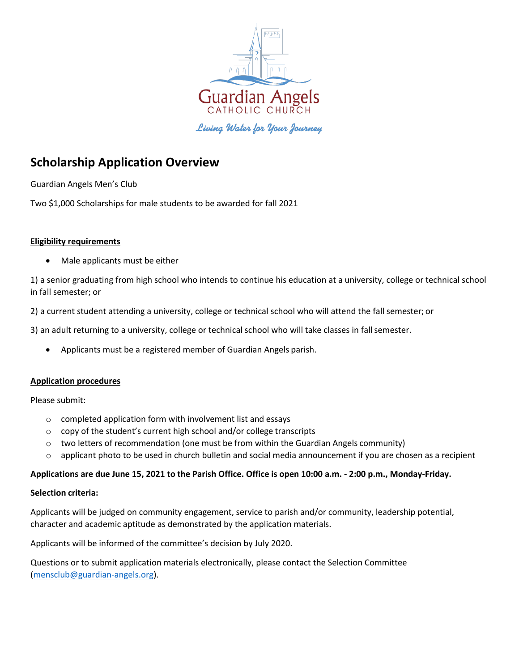

Living Water for Your Journey

# **Scholarship Application Overview**

Guardian Angels Men's Club

Two \$1,000 Scholarships for male students to be awarded for fall 2021

### **Eligibility requirements**

Male applicants must be either

1) a senior graduating from high school who intends to continue his education at a university, college or technical school in fall semester; or

2) a current student attending a university, college or technical school who will attend the fall semester; or

3) an adult returning to a university, college or technical school who will take classes in fallsemester.

• Applicants must be a registered member of Guardian Angels parish.

### **Application procedures**

Please submit:

- o completed application form with involvement list and essays
- o copy of the student's current high school and/or college transcripts
- $\circ$  two letters of recommendation (one must be from within the Guardian Angels community)
- $\circ$  applicant photo to be used in church bulletin and social media announcement if you are chosen as a recipient

### **Applications are due June 15, 2021 to the Parish Office. Office is open 10:00 a.m. - 2:00 p.m., Monday-Friday.**

### **Selection criteria:**

Applicants will be judged on community engagement, service to parish and/or community, leadership potential, character and academic aptitude as demonstrated by the application materials.

Applicants will be informed of the committee's decision by July 2020.

Questions or to submit application materials electronically, please contact the Selection Committee [\(mensclub@guardian-angels.org\)](mailto:mensclub@guardian-angels.org).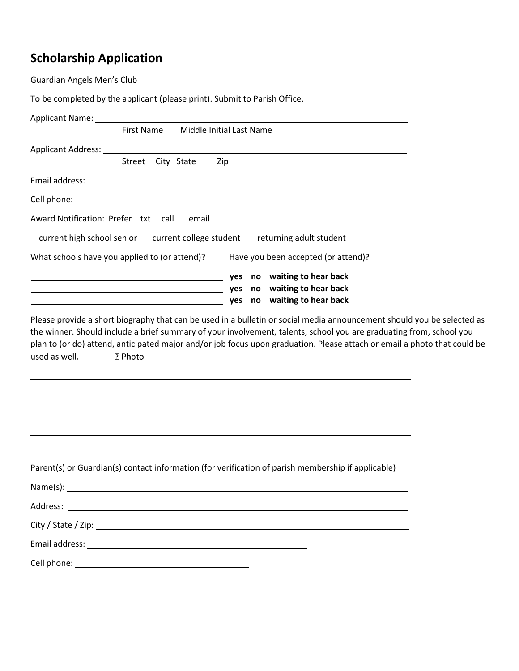# **Scholarship Application**

Guardian Angels Men's Club

To be completed by the applicant (please print). Submit to Parish Office.

| Applicant Name: 1996 and 2008 and 2008 and 2008 and 2008 and 2008 and 2008 and 2008 and 2008 and 200                                                                                                                                          |                   |                   |                          |                             |  |  |
|-----------------------------------------------------------------------------------------------------------------------------------------------------------------------------------------------------------------------------------------------|-------------------|-------------------|--------------------------|-----------------------------|--|--|
|                                                                                                                                                                                                                                               | <b>First Name</b> |                   | Middle Initial Last Name |                             |  |  |
| Applicant Address: North American Security of the Security of the Security of the Security of the Security of the Security of the Security of the Security of the Security of the Security of the Security of the Security of                 |                   |                   |                          |                             |  |  |
|                                                                                                                                                                                                                                               |                   | Street City State | Zip                      |                             |  |  |
|                                                                                                                                                                                                                                               |                   |                   |                          |                             |  |  |
|                                                                                                                                                                                                                                               |                   |                   |                          |                             |  |  |
| Award Notification: Prefer txt call                                                                                                                                                                                                           |                   | email             |                          |                             |  |  |
| current high school senior current college student returning adult student                                                                                                                                                                    |                   |                   |                          |                             |  |  |
| What schools have you applied to (or attend)? Have you been accepted (or attend)?                                                                                                                                                             |                   |                   |                          |                             |  |  |
| ves no waiting to hear back (3) wall and the set of the set of the set of the set of the set of the set of the                                                                                                                                |                   |                   |                          |                             |  |  |
| in the property of the property of the property of the property of the property of the property of the property of the property of the property of the property of the property of the property of the property of the propert                |                   |                   |                          |                             |  |  |
| <u> 1989 - Johann Barn, fransk politik amerikansk politik (</u>                                                                                                                                                                               |                   |                   |                          | yes no waiting to hear back |  |  |
| Please provide a short biography that can be used in a bulletin or social media announcement should you be selected as<br>the winner. Should include a brief summary of your involvement, talents, school you are graduating from, school you |                   |                   |                          |                             |  |  |
| plan to (or do) attend, anticipated major and/or job focus upon graduation. Please attach or email a photo that could be                                                                                                                      |                   |                   |                          |                             |  |  |
| used as well.                                                                                                                                                                                                                                 | <b>2 Photo</b>    |                   |                          |                             |  |  |
|                                                                                                                                                                                                                                               |                   |                   |                          |                             |  |  |
|                                                                                                                                                                                                                                               |                   |                   |                          |                             |  |  |
|                                                                                                                                                                                                                                               |                   |                   |                          |                             |  |  |
|                                                                                                                                                                                                                                               |                   |                   |                          |                             |  |  |
|                                                                                                                                                                                                                                               |                   |                   |                          |                             |  |  |
|                                                                                                                                                                                                                                               |                   |                   |                          |                             |  |  |

Parent(s) or Guardian(s) contact information (for verification of parish membership if applicable)

Name(s):

Address:

City / State / Zip:

Email address:

Cell phone: